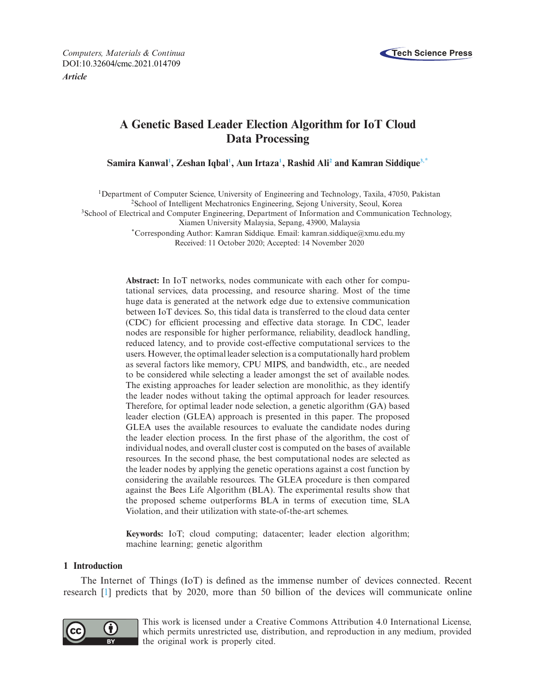

*Computers, Materials & Continua* **Tech Science Press** DOI[:10.32604/cmc.2021.014709](http://dx.doi.org/10.32604/cmc.2021.014709) *Article*

# **A Genetic Based Leader Election Algorithm for IoT Cloud Data Processing**

 $\boldsymbol{\mathrm{Samira\; Kanwal^1, Zeshan\, Iqba1^1, Aun\, Irtaza^1, Rashid\, Ali^2}$  $\boldsymbol{\mathrm{Samira\; Kanwal^1, Zeshan\, Iqba1^1, Aun\, Irtaza^1, Rashid\, Ali^2}$  $\boldsymbol{\mathrm{Samira\; Kanwal^1, Zeshan\, Iqba1^1, Aun\, Irtaza^1, Rashid\, Ali^2}$  and  $\boldsymbol{\mathrm{Kamran\; Siddique^{3,*}}}$  $\boldsymbol{\mathrm{Kamran\; Siddique^{3,*}}}$  $\boldsymbol{\mathrm{Kamran\; Siddique^{3,*}}}$ 

<span id="page-0-0"></span>1Department of Computer Science, University of Engineering and Technology, Taxila, 47050, Pakistan

<span id="page-0-1"></span>2School of Intelligent Mechatronics Engineering, Sejong University, Seoul, Korea

<span id="page-0-2"></span>3School of Electrical and Computer Engineering, Department of Information and Communication Technology,

Xiamen University Malaysia, Sepang, 43900, Malaysia

<span id="page-0-3"></span>\*Corresponding Author: Kamran Siddique. Email: kamran.siddique@xmu.edu.my Received: 11 October 2020; Accepted: 14 November 2020

**Abstract:** In IoT networks, nodes communicate with each other for computational services, data processing, and resource sharing. Most of the time huge data is generated at the network edge due to extensive communication between IoT devices. So, this tidal data is transferred to the cloud data center (CDC) for efficient processing and effective data storage. In CDC, leader nodes are responsible for higher performance, reliability, deadlock handling, reduced latency, and to provide cost-effective computational services to the users. However, the optimal leader selection is a computationally hard problem as several factors like memory, CPU MIPS, and bandwidth, etc., are needed to be considered while selecting a leader amongst the set of available nodes. The existing approaches for leader selection are monolithic, as they identify the leader nodes without taking the optimal approach for leader resources. Therefore, for optimal leader node selection, a genetic algorithm (GA) based leader election (GLEA) approach is presented in this paper. The proposed GLEA uses the available resources to evaluate the candidate nodes during the leader election process. In the first phase of the algorithm, the cost of individual nodes, and overall cluster cost is computed on the bases of available resources. In the second phase, the best computational nodes are selected as the leader nodes by applying the genetic operations against a cost function by considering the available resources. The GLEA procedure is then compared against the Bees Life Algorithm (BLA). The experimental results show that the proposed scheme outperforms BLA in terms of execution time, SLA Violation, and their utilization with state-of-the-art schemes.

**Keywords:** IoT; cloud computing; datacenter; leader election algorithm; machine learning; genetic algorithm

### **1 Introduction**

The Internet of Things (IoT) is defined as the immense number of devices connected. Recent research [\[1](#page-15-0)] predicts that by 2020, more than 50 billion of the devices will communicate online



This work is licensed under a Creative Commons Attribution 4.0 International License, which permits unrestricted use, distribution, and reproduction in any medium, provided the original work is properly cited.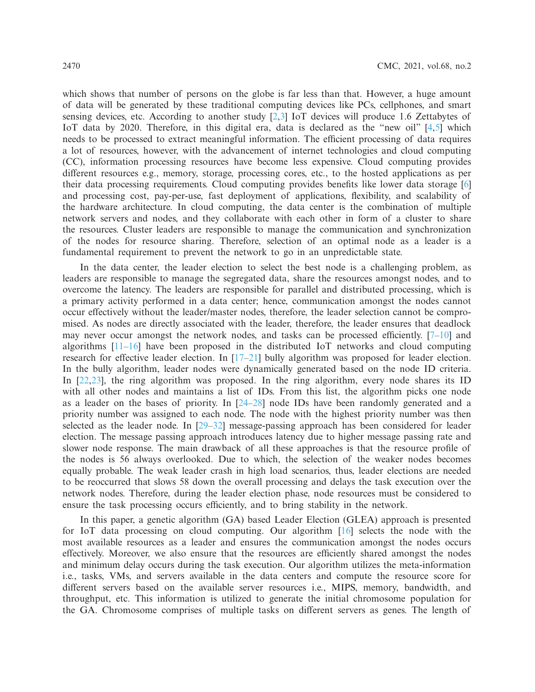which shows that number of persons on the globe is far less than that. However, a huge amount of data will be generated by these traditional computing devices like PCs, cellphones, and smart sensing devices, etc. According to another study [\[2](#page-15-1)[,3](#page-15-2)] IoT devices will produce 1.6 Zettabytes of IoT data by 2020. Therefore, in this digital era, data is declared as the "new oil" [\[4](#page-15-3)[,5\]](#page-15-4) which needs to be processed to extract meaningful information. The efficient processing of data requires a lot of resources, however, with the advancement of internet technologies and cloud computing (CC), information processing resources have become less expensive. Cloud computing provides different resources e.g., memory, storage, processing cores, etc., to the hosted applications as per their data processing requirements. Cloud computing provides benefits like lower data storage [\[6\]](#page-15-5) and processing cost, pay-per-use, fast deployment of applications, flexibility, and scalability of the hardware architecture. In cloud computing, the data center is the combination of multiple network servers and nodes, and they collaborate with each other in form of a cluster to share the resources. Cluster leaders are responsible to manage the communication and synchronization of the nodes for resource sharing. Therefore, selection of an optimal node as a leader is a fundamental requirement to prevent the network to go in an unpredictable state.

In the data center, the leader election to select the best node is a challenging problem, as leaders are responsible to manage the segregated data, share the resources amongst nodes, and to overcome the latency. The leaders are responsible for parallel and distributed processing, which is a primary activity performed in a data center; hence, communication amongst the nodes cannot occur effectively without the leader/master nodes, therefore, the leader selection cannot be compromised. As nodes are directly associated with the leader, therefore, the leader ensures that deadlock may never occur amongst the network nodes, and tasks can be processed efficiently.  $[7-10]$  $[7-10]$  and algorithms [\[11](#page-15-8)[–16](#page-16-0)] have been proposed in the distributed IoT networks and cloud computing research for effective leader election. In  $[17-21]$  $[17-21]$  bully algorithm was proposed for leader election. In the bully algorithm, leader nodes were dynamically generated based on the node ID criteria. In [\[22](#page-16-3)[,23\]](#page-16-4), the ring algorithm was proposed. In the ring algorithm, every node shares its ID with all other nodes and maintains a list of IDs. From this list, the algorithm picks one node as a leader on the bases of priority. In [\[24](#page-16-5)[–28](#page-16-6)] node IDs have been randomly generated and a priority number was assigned to each node. The node with the highest priority number was then selected as the leader node. In [\[29](#page-16-7)[–32\]](#page-16-8) message-passing approach has been considered for leader election. The message passing approach introduces latency due to higher message passing rate and slower node response. The main drawback of all these approaches is that the resource profile of the nodes is 56 always overlooked. Due to which, the selection of the weaker nodes becomes equally probable. The weak leader crash in high load scenarios, thus, leader elections are needed to be reoccurred that slows 58 down the overall processing and delays the task execution over the network nodes. Therefore, during the leader election phase, node resources must be considered to ensure the task processing occurs efficiently, and to bring stability in the network.

In this paper, a genetic algorithm (GA) based Leader Election (GLEA) approach is presented for IoT data processing on cloud computing. Our algorithm [\[16](#page-16-0)] selects the node with the most available resources as a leader and ensures the communication amongst the nodes occurs effectively. Moreover, we also ensure that the resources are efficiently shared amongst the nodes and minimum delay occurs during the task execution. Our algorithm utilizes the meta-information i.e., tasks, VMs, and servers available in the data centers and compute the resource score for different servers based on the available server resources i.e., MIPS, memory, bandwidth, and throughput, etc. This information is utilized to generate the initial chromosome population for the GA. Chromosome comprises of multiple tasks on different servers as genes. The length of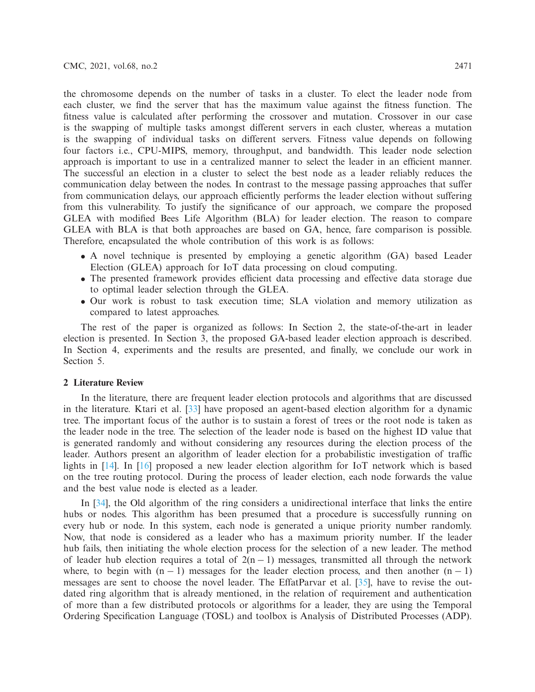the chromosome depends on the number of tasks in a cluster. To elect the leader node from each cluster, we find the server that has the maximum value against the fitness function. The fitness value is calculated after performing the crossover and mutation. Crossover in our case is the swapping of multiple tasks amongst different servers in each cluster, whereas a mutation is the swapping of individual tasks on different servers. Fitness value depends on following four factors i.e., CPU-MIPS, memory, throughput, and bandwidth. This leader node selection approach is important to use in a centralized manner to select the leader in an efficient manner. The successful an election in a cluster to select the best node as a leader reliably reduces the communication delay between the nodes. In contrast to the message passing approaches that suffer from communication delays, our approach efficiently performs the leader election without suffering from this vulnerability. To justify the significance of our approach, we compare the proposed GLEA with modified Bees Life Algorithm (BLA) for leader election. The reason to compare GLEA with BLA is that both approaches are based on GA, hence, fare comparison is possible. Therefore, encapsulated the whole contribution of this work is as follows:

- A novel technique is presented by employing a genetic algorithm (GA) based Leader Election (GLEA) approach for IoT data processing on cloud computing.
- The presented framework provides efficient data processing and effective data storage due to optimal leader selection through the GLEA.
- Our work is robust to task execution time; SLA violation and memory utilization as compared to latest approaches.

The rest of the paper is organized as follows: In Section 2, the state-of-the-art in leader election is presented. In Section 3, the proposed GA-based leader election approach is described. In Section 4, experiments and the results are presented, and finally, we conclude our work in Section 5.

### **2 Literature Review**

In the literature, there are frequent leader election protocols and algorithms that are discussed in the literature. Ktari et al. [\[33](#page-17-0)] have proposed an agent-based election algorithm for a dynamic tree. The important focus of the author is to sustain a forest of trees or the root node is taken as the leader node in the tree. The selection of the leader node is based on the highest ID value that is generated randomly and without considering any resources during the election process of the leader. Authors present an algorithm of leader election for a probabilistic investigation of traffic lights in [\[14\]](#page-16-9). In [\[16\]](#page-16-0) proposed a new leader election algorithm for IoT network which is based on the tree routing protocol. During the process of leader election, each node forwards the value and the best value node is elected as a leader.

In [\[34\]](#page-17-1), the Old algorithm of the ring considers a unidirectional interface that links the entire hubs or nodes. This algorithm has been presumed that a procedure is successfully running on every hub or node. In this system, each node is generated a unique priority number randomly. Now, that node is considered as a leader who has a maximum priority number. If the leader hub fails, then initiating the whole election process for the selection of a new leader. The method of leader hub election requires a total of  $2(n - 1)$  messages, transmitted all through the network where, to begin with  $(n - 1)$  messages for the leader election process, and then another  $(n - 1)$ messages are sent to choose the novel leader. The EffatParvar et al. [\[35\]](#page-17-2), have to revise the outdated ring algorithm that is already mentioned, in the relation of requirement and authentication of more than a few distributed protocols or algorithms for a leader, they are using the Temporal Ordering Specification Language (TOSL) and toolbox is Analysis of Distributed Processes (ADP).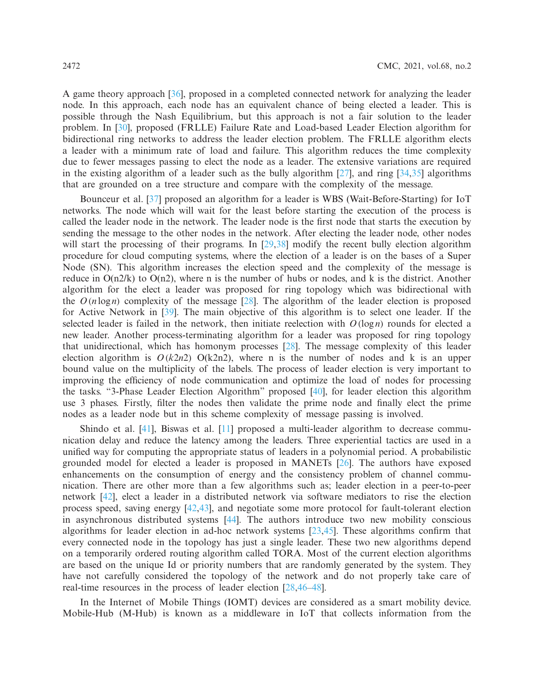A game theory approach [\[36\]](#page-17-3), proposed in a completed connected network for analyzing the leader node. In this approach, each node has an equivalent chance of being elected a leader. This is possible through the Nash Equilibrium, but this approach is not a fair solution to the leader problem. In [\[30\]](#page-16-10), proposed (FRLLE) Failure Rate and Load-based Leader Election algorithm for bidirectional ring networks to address the leader election problem. The FRLLE algorithm elects a leader with a minimum rate of load and failure. This algorithm reduces the time complexity due to fewer messages passing to elect the node as a leader. The extensive variations are required in the existing algorithm of a leader such as the bully algorithm  $[27]$ , and ring  $[34,35]$  $[34,35]$  $[34,35]$  algorithms that are grounded on a tree structure and compare with the complexity of the message.

Bounceur et al. [\[37\]](#page-17-4) proposed an algorithm for a leader is WBS (Wait-Before-Starting) for IoT networks. The node which will wait for the least before starting the execution of the process is called the leader node in the network. The leader node is the first node that starts the execution by sending the message to the other nodes in the network. After electing the leader node, other nodes will start the processing of their programs. In [\[29](#page-16-7)[,38](#page-17-5)] modify the recent bully election algorithm procedure for cloud computing systems, where the election of a leader is on the bases of a Super Node (SN). This algorithm increases the election speed and the complexity of the message is reduce in  $O(n2/k)$  to  $O(n2)$ , where n is the number of hubs or nodes, and k is the district. Another algorithm for the elect a leader was proposed for ring topology which was bidirectional with the  $O(n \log n)$  complexity of the message  $[28]$  $[28]$ . The algorithm of the leader election is proposed for Active Network in [\[39](#page-17-6)]. The main objective of this algorithm is to select one leader. If the selected leader is failed in the network, then initiate reelection with  $O(\log n)$  rounds for elected a new leader. Another process-terminating algorithm for a leader was proposed for ring topology that unidirectional, which has homonym processes [\[28](#page-16-6)]. The message complexity of this leader election algorithm is  $O(k2n^2)$   $O(k2n^2)$ , where n is the number of nodes and k is an upper bound value on the multiplicity of the labels. The process of leader election is very important to improving the efficiency of node communication and optimize the load of nodes for processing the tasks. "3-Phase Leader Election Algorithm" proposed [\[40](#page-17-7)], for leader election this algorithm use 3 phases. Firstly, filter the nodes then validate the prime node and finally elect the prime nodes as a leader node but in this scheme complexity of message passing is involved.

Shindo et al. [\[41](#page-17-8)], Biswas et al. [\[11](#page-15-8)] proposed a multi-leader algorithm to decrease communication delay and reduce the latency among the leaders. Three experiential tactics are used in a unified way for computing the appropriate status of leaders in a polynomial period. A probabilistic grounded model for elected a leader is proposed in MANETs [\[26](#page-16-12)]. The authors have exposed enhancements on the consumption of energy and the consistency problem of channel communication. There are other more than a few algorithms such as; leader election in a peer-to-peer network [\[42\]](#page-17-9), elect a leader in a distributed network via software mediators to rise the election process speed, saving energy [\[42](#page-17-9)[,43](#page-17-10)], and negotiate some more protocol for fault-tolerant election in asynchronous distributed systems [\[44\]](#page-17-11). The authors introduce two new mobility conscious algorithms for leader election in ad-hoc network systems [\[23](#page-16-4)[,45\]](#page-17-12). These algorithms confirm that every connected node in the topology has just a single leader. These two new algorithms depend on a temporarily ordered routing algorithm called TORA. Most of the current election algorithms are based on the unique Id or priority numbers that are randomly generated by the system. They have not carefully considered the topology of the network and do not properly take care of real-time resources in the process of leader election [\[28](#page-16-6)[,46](#page-17-13)[–48](#page-17-14)].

In the Internet of Mobile Things (IOMT) devices are considered as a smart mobility device. Mobile-Hub (M-Hub) is known as a middleware in IoT that collects information from the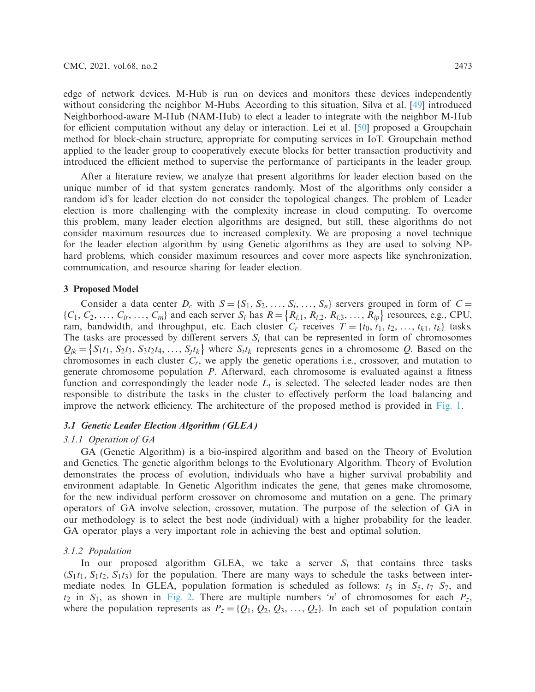edge of network devices. M-Hub is run on devices and monitors these devices independently without considering the neighbor M-Hubs. According to this situation, Silva et al. [\[49](#page-17-15)] introduced Neighborhood-aware M-Hub (NAM-Hub) to elect a leader to integrate with the neighbor M-Hub for efficient computation without any delay or interaction. Lei et al. [\[50\]](#page-17-16) proposed a Groupchain method for block-chain structure, appropriate for computing services in IoT. Groupchain method applied to the leader group to cooperatively execute blocks for better transaction productivity and introduced the efficient method to supervise the performance of participants in the leader group.

After a literature review, we analyze that present algorithms for leader election based on the unique number of id that system generates randomly. Most of the algorithms only consider a random id's for leader election do not consider the topological changes. The problem of Leader election is more challenging with the complexity increase in cloud computing. To overcome this problem, many leader election algorithms are designed, but still, these algorithms do not consider maximum resources due to increased complexity. We are proposing a novel technique for the leader election algorithm by using Genetic algorithms as they are used to solving NPhard problems, which consider maximum resources and cover more aspects like synchronization, communication, and resource sharing for leader election.

# **3 Proposed Model**

Consider a data center  $D_c$  with  $S = \{S_1, S_2, \ldots, S_i, \ldots, S_n\}$  servers grouped in form of  $C =$  $\{C_1, C_2, \ldots, C_{ir}, \ldots, C_m\}$  and each server  $S_i$  has  $R = \{R_{i,1}, R_{i,2}, R_{i,3}, \ldots, R_{ip}\}$  resources, e.g., CPU, ram, bandwidth, and throughput, etc. Each cluster  $C_r$  receives  $T = \{t_0, t_1, t_2, \ldots, t_{k1}, t_k\}$  tasks. The tasks are processed by different servers  $S_i$  that can be represented in form of chromosomes  $Q_{jk} = \{S_1t_1, S_2t_3, S_3t_2t_4, \ldots, S_jt_k\}$  where  $S_it_k$  represents genes in a chromosome *Q*. Based on the chromosomes in each cluster *Cr*, we apply the genetic operations i.e., crossover, and mutation to generate chromosome population *P*. Afterward, each chromosome is evaluated against a fitness function and correspondingly the leader node *Li* is selected. The selected leader nodes are then responsible to distribute the tasks in the cluster to effectively perform the load balancing and improve the network efficiency. The architecture of the proposed method is provided in [Fig. 1.](#page-5-0)

### *3.1 Genetic Leader Election Algorithm (GLEA)*

### *3.1.1 Operation of GA*

GA (Genetic Algorithm) is a bio-inspired algorithm and based on the Theory of Evolution and Genetics. The genetic algorithm belongs to the Evolutionary Algorithm. Theory of Evolution demonstrates the process of evolution, individuals who have a higher survival probability and environment adaptable. In Genetic Algorithm indicates the gene, that genes make chromosome, for the new individual perform crossover on chromosome and mutation on a gene. The primary operators of GA involve selection, crossover, mutation. The purpose of the selection of GA in our methodology is to select the best node (individual) with a higher probability for the leader. GA operator plays a very important role in achieving the best and optimal solution.

### *3.1.2 Population*

In our proposed algorithm GLEA, we take a server  $S_i$  that contains three tasks  $(S_1t_1, S_1t_2, S_1t_3)$  for the population. There are many ways to schedule the tasks between intermediate nodes. In GLEA, population formation is scheduled as follows:  $t_5$  in  $S_5$ ,  $t_7$   $S_7$ , and  $t_2$  in  $S_1$ , as shown in [Fig. 2.](#page-5-1) There are multiple numbers '*n*' of chromosomes for each  $P_z$ , where the population represents as  $P_z = \{Q_1, Q_2, Q_3, \ldots, Q_z\}$ . In each set of population contain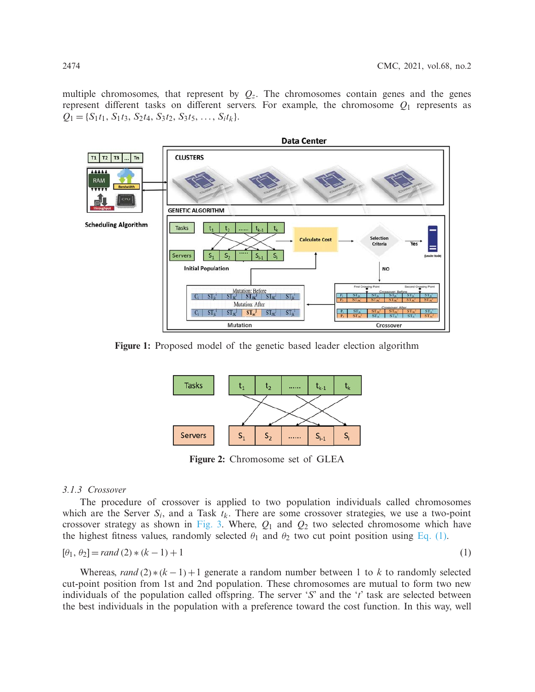multiple chromosomes, that represent by  $Q_z$ . The chromosomes contain genes and the genes represent different tasks on different servers. For example, the chromosome  $Q_1$  represents as  $Q_1 = \{S_1t_1, S_1t_3, S_2t_4, S_3t_2, S_3t_5, \ldots, S_it_k\}.$ 



**Figure 1:** Proposed model of the genetic based leader election algorithm



<span id="page-5-2"></span><span id="page-5-1"></span><span id="page-5-0"></span>**Figure 2:** Chromosome set of GLEA

# *3.1.3 Crossover*

The procedure of crossover is applied to two population individuals called chromosomes which are the Server  $S_i$ , and a Task  $t_k$ . There are some crossover strategies, we use a two-point crossover strategy as shown in [Fig. 3.](#page-6-0) Where, *Q*<sup>1</sup> and *Q*<sup>2</sup> two selected chromosome which have the highest fitness values, randomly selected  $\theta_1$  and  $\theta_2$  two cut point position using [Eq. \(1\).](#page-5-2)

$$
[\theta_1, \theta_2] = rand(2) * (k - 1) + 1
$$
\n(1)

Whereas, *rand* (2) $*(k-1)+1$  generate a random number between 1 to *k* to randomly selected cut-point position from 1st and 2nd population. These chromosomes are mutual to form two new individuals of the population called offspring. The server '*S*' and the '*t*' task are selected between the best individuals in the population with a preference toward the cost function. In this way, well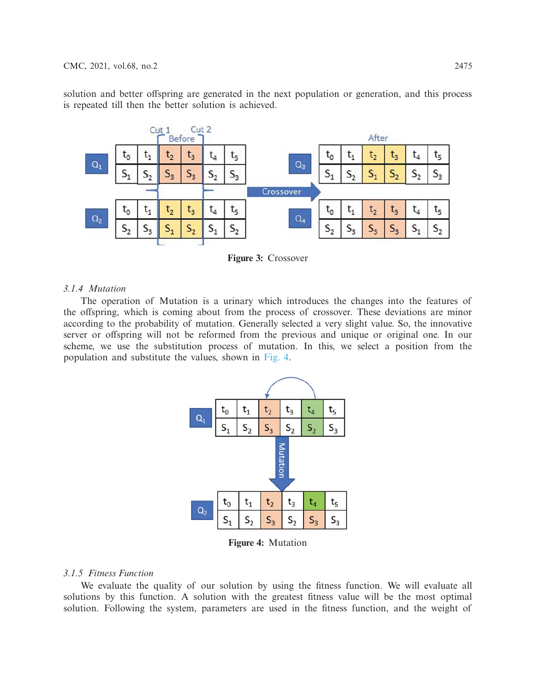solution and better offspring are generated in the next population or generation, and this process is repeated till then the better solution is achieved.



<span id="page-6-0"></span>**Figure 3:** Crossover

# *3.1.4 Mutation*

The operation of Mutation is a urinary which introduces the changes into the features of the offspring, which is coming about from the process of crossover. These deviations are minor according to the probability of mutation. Generally selected a very slight value. So, the innovative server or offspring will not be reformed from the previous and unique or original one. In our scheme, we use the substitution process of mutation. In this, we select a position from the population and substitute the values, shown in [Fig. 4.](#page-6-1)



<span id="page-6-1"></span>**Figure 4:** Mutation

# *3.1.5 Fitness Function*

We evaluate the quality of our solution by using the fitness function. We will evaluate all solutions by this function. A solution with the greatest fitness value will be the most optimal solution. Following the system, parameters are used in the fitness function, and the weight of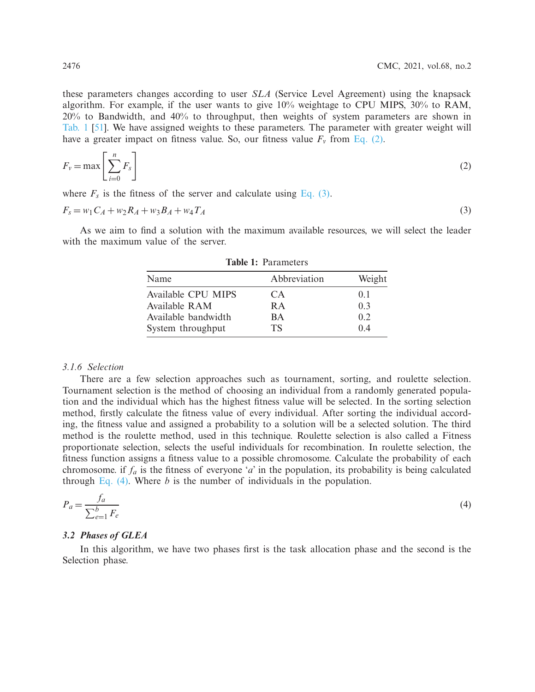these parameters changes according to user *SLA* (Service Level Agreement) using the knapsack algorithm. For example, if the user wants to give 10% weightage to CPU MIPS, 30% to RAM, 20% to Bandwidth, and 40% to throughput, then weights of system parameters are shown in [Tab. 1](#page-7-0) [\[51](#page-17-17)]. We have assigned weights to these parameters. The parameter with greater weight will have a greater impact on fitness value. So, our fitness value  $F_v$  from [Eq. \(2\).](#page-7-1)

$$
F_v = \max\left[\sum_{i=0}^n F_s\right]
$$
 (2)

where  $F_s$  is the fitness of the server and calculate using [Eq. \(3\).](#page-7-2)

$$
F_s = w_1 C_A + w_2 R_A + w_3 B_A + w_4 T_A \tag{3}
$$

<span id="page-7-0"></span>As we aim to find a solution with the maximum available resources, we will select the leader with the maximum value of the server.

| Name                | Abbreviation | Weight         |
|---------------------|--------------|----------------|
| Available CPU MIPS  | CA           | 0 <sub>1</sub> |
| Available RAM       | R A          | 0.3            |
| Available bandwidth | <b>BA</b>    | 0.2            |
| System throughput   | TS           | 04             |

<span id="page-7-3"></span><span id="page-7-2"></span><span id="page-7-1"></span>**Table 1:** Parameters

# *3.1.6 Selection*

There are a few selection approaches such as tournament, sorting, and roulette selection. Tournament selection is the method of choosing an individual from a randomly generated population and the individual which has the highest fitness value will be selected. In the sorting selection method, firstly calculate the fitness value of every individual. After sorting the individual according, the fitness value and assigned a probability to a solution will be a selected solution. The third method is the roulette method, used in this technique. Roulette selection is also called a Fitness proportionate selection, selects the useful individuals for recombination. In roulette selection, the fitness function assigns a fitness value to a possible chromosome. Calculate the probability of each chromosome. if  $f_a$  is the fitness of everyone '*a*' in the population, its probability is being calculated through Eq.  $(4)$ . Where *b* is the number of individuals in the population.

$$
P_a = \frac{f_a}{\sum_{e=1}^b F_e} \tag{4}
$$

# *3.2 Phases of GLEA*

In this algorithm, we have two phases first is the task allocation phase and the second is the Selection phase.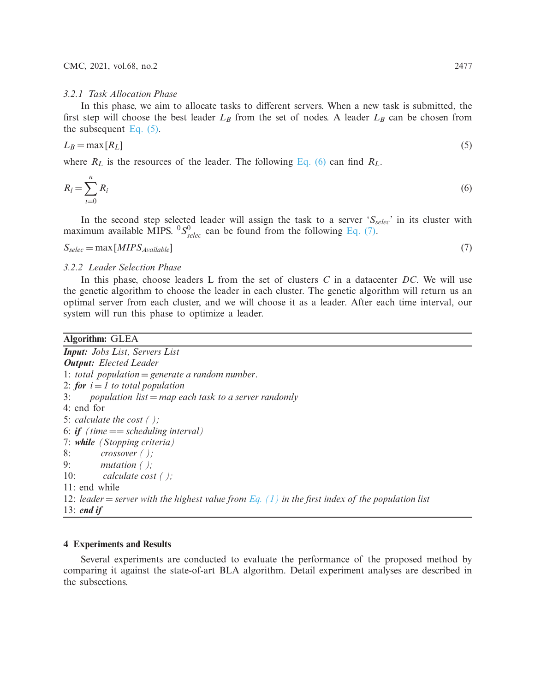### *3.2.1 Task Allocation Phase*

In this phase, we aim to allocate tasks to different servers. When a new task is submitted, the first step will choose the best leader  $L_B$  from the set of nodes. A leader  $L_B$  can be chosen from the subsequent Eq.  $(5)$ .

<span id="page-8-0"></span>
$$
L_B = \max[R_L] \tag{5}
$$

where  $R_L$  is the resources of the leader. The following [Eq. \(6\)](#page-8-1) can find  $R_L$ .

$$
R_l = \sum_{i=0}^{n} R_i
$$
\n<sup>(6)</sup>

In the second step selected leader will assign the task to a server '*Sselec*' in its cluster with maximum available MIPS.  ${}^{0}S_{\text{selec}}^{0}$  can be found from the following [Eq. \(7\).](#page-8-2)

$$
S_{\text{selec}} = \max[MIPS_{\text{Available}}]
$$
\n<sup>(7)</sup>

<span id="page-8-2"></span><span id="page-8-1"></span>

# *3.2.2 Leader Selection Phase*

In this phase, choose leaders L from the set of clusters *C* in a datacenter *DC*. We will use the genetic algorithm to choose the leader in each cluster. The genetic algorithm will return us an optimal server from each cluster, and we will choose it as a leader. After each time interval, our system will run this phase to optimize a leader.

#### **Algorithm:** GLEA

*Input: Jobs List, Servers List Output: Elected Leader* 1: *total population* = *generate a random number*. 2: *for*  $i = 1$  *to total population* 3: *population list* = *map each task to a server randomly* 4: end for 5: *calculate the cost ( );* 6: *if (time* == *scheduling interval)* 7: *while (Stopping criteria)* 8: *crossover ( );* 9: *mutation ( );* 10: *calculate cost ( );* 11: end while 12: *leader* = *server with the highest value from [Eq. \(1\)](#page-5-2) in the first index of the population list* 13: *end if*

# **4 Experiments and Results**

Several experiments are conducted to evaluate the performance of the proposed method by comparing it against the state-of-art BLA algorithm. Detail experiment analyses are described in the subsections.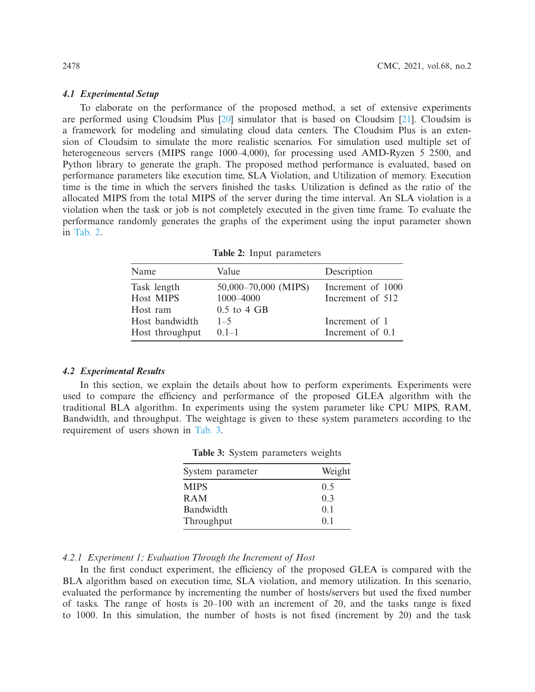### *4.1 Experimental Setup*

To elaborate on the performance of the proposed method, a set of extensive experiments are performed using Cloudsim Plus [\[20](#page-16-13)] simulator that is based on Cloudsim [\[21\]](#page-16-2). Cloudsim is a framework for modeling and simulating cloud data centers. The Cloudsim Plus is an extension of Cloudsim to simulate the more realistic scenarios. For simulation used multiple set of heterogeneous servers (MIPS range 1000–4,000), for processing used AMD-Ryzen 5 2500, and Python library to generate the graph. The proposed method performance is evaluated, based on performance parameters like execution time, SLA Violation, and Utilization of memory. Execution time is the time in which the servers finished the tasks. Utilization is defined as the ratio of the allocated MIPS from the total MIPS of the server during the time interval. An SLA violation is a violation when the task or job is not completely executed in the given time frame. To evaluate the performance randomly generates the graphs of the experiment using the input parameter shown in [Tab. 2.](#page-9-0)

**Table 2:** Input parameters

<span id="page-9-0"></span>

| Name            | Value                | Description       |  |
|-----------------|----------------------|-------------------|--|
| Task length     | 50,000-70,000 (MIPS) | Increment of 1000 |  |
| Host MIPS       | 1000-4000            | Increment of 512  |  |
| Host ram        | $0.5$ to $4$ GB      |                   |  |
| Host bandwidth  | $1 - 5$              | Increment of 1    |  |
| Host throughput | $01-1$               | Increment of 0.1  |  |

### *4.2 Experimental Results*

<span id="page-9-1"></span>In this section, we explain the details about how to perform experiments. Experiments were used to compare the efficiency and performance of the proposed GLEA algorithm with the traditional BLA algorithm. In experiments using the system parameter like CPU MIPS, RAM, Bandwidth, and throughput. The weightage is given to these system parameters according to the requirement of users shown in [Tab. 3.](#page-9-1)

| Weight         |
|----------------|
| 0.5            |
| 0.3            |
| 0.1            |
| 0 <sub>1</sub> |
|                |

| <b>Table 3:</b> System parameters weights |  |
|-------------------------------------------|--|
|-------------------------------------------|--|

# *4.2.1 Experiment 1; Evaluation Through the Increment of Host*

In the first conduct experiment, the efficiency of the proposed GLEA is compared with the BLA algorithm based on execution time, SLA violation, and memory utilization. In this scenario, evaluated the performance by incrementing the number of hosts/servers but used the fixed number of tasks. The range of hosts is 20–100 with an increment of 20, and the tasks range is fixed to 1000. In this simulation, the number of hosts is not fixed (increment by 20) and the task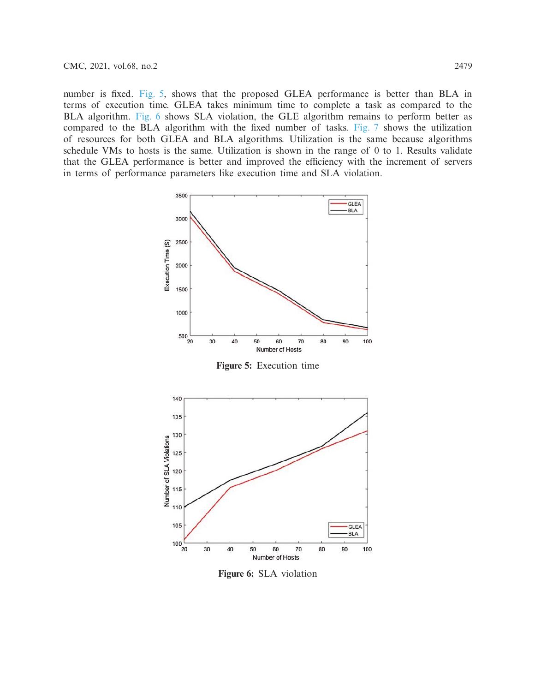number is fixed. [Fig. 5,](#page-10-0) shows that the proposed GLEA performance is better than BLA in terms of execution time. GLEA takes minimum time to complete a task as compared to the BLA algorithm. [Fig. 6](#page-10-1) shows SLA violation, the GLE algorithm remains to perform better as compared to the BLA algorithm with the fixed number of tasks. [Fig. 7](#page-11-0) shows the utilization of resources for both GLEA and BLA algorithms. Utilization is the same because algorithms schedule VMs to hosts is the same. Utilization is shown in the range of 0 to 1. Results validate that the GLEA performance is better and improved the efficiency with the increment of servers in terms of performance parameters like execution time and SLA violation.



<span id="page-10-0"></span>**Figure 5:** Execution time



<span id="page-10-1"></span>**Figure 6:** SLA violation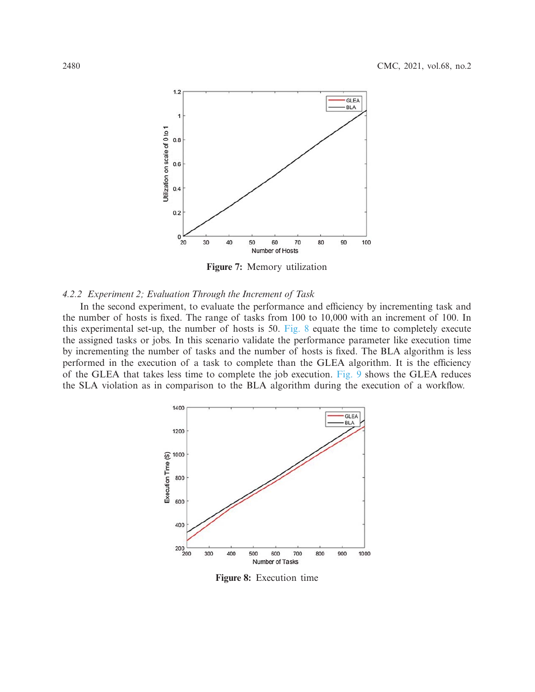

<span id="page-11-0"></span>**Figure 7:** Memory utilization

### *4.2.2 Experiment 2; Evaluation Through the Increment of Task*

In the second experiment, to evaluate the performance and efficiency by incrementing task and the number of hosts is fixed. The range of tasks from 100 to 10,000 with an increment of 100. In this experimental set-up, the number of hosts is 50. [Fig. 8](#page-11-1) equate the time to completely execute the assigned tasks or jobs. In this scenario validate the performance parameter like execution time by incrementing the number of tasks and the number of hosts is fixed. The BLA algorithm is less performed in the execution of a task to complete than the GLEA algorithm. It is the efficiency of the GLEA that takes less time to complete the job execution. [Fig. 9](#page-12-0) shows the GLEA reduces the SLA violation as in comparison to the BLA algorithm during the execution of a workflow.



<span id="page-11-1"></span>**Figure 8:** Execution time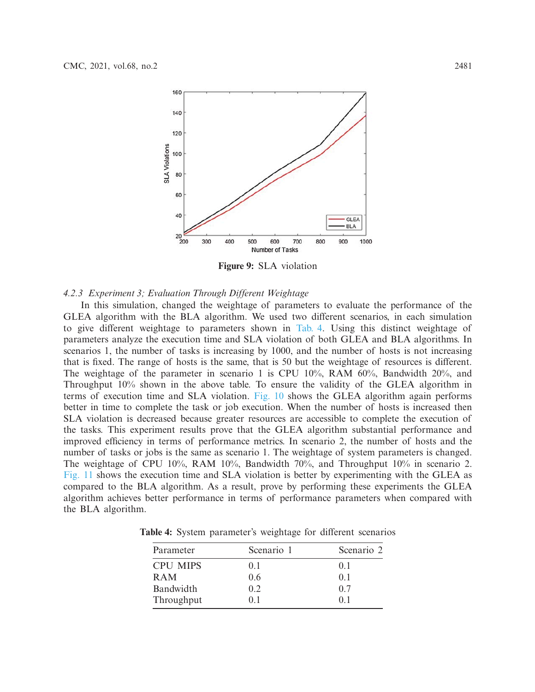

<span id="page-12-0"></span>**Figure 9:** SLA violation

### *4.2.3 Experiment 3; Evaluation Through Different Weightage*

In this simulation, changed the weightage of parameters to evaluate the performance of the GLEA algorithm with the BLA algorithm. We used two different scenarios, in each simulation to give different weightage to parameters shown in [Tab. 4.](#page-12-1) Using this distinct weightage of parameters analyze the execution time and SLA violation of both GLEA and BLA algorithms. In scenarios 1, the number of tasks is increasing by 1000, and the number of hosts is not increasing that is fixed. The range of hosts is the same, that is 50 but the weightage of resources is different. The weightage of the parameter in scenario 1 is CPU 10%, RAM 60%, Bandwidth 20%, and Throughput 10% shown in the above table. To ensure the validity of the GLEA algorithm in terms of execution time and SLA violation. [Fig. 10](#page-13-0) shows the GLEA algorithm again performs better in time to complete the task or job execution. When the number of hosts is increased then SLA violation is decreased because greater resources are accessible to complete the execution of the tasks. This experiment results prove that the GLEA algorithm substantial performance and improved efficiency in terms of performance metrics. In scenario 2, the number of hosts and the number of tasks or jobs is the same as scenario 1. The weightage of system parameters is changed. The weightage of CPU 10%, RAM 10%, Bandwidth 70%, and Throughput 10% in scenario 2. [Fig. 11](#page-13-1) shows the execution time and SLA violation is better by experimenting with the GLEA as compared to the BLA algorithm. As a result, prove by performing these experiments the GLEA algorithm achieves better performance in terms of performance parameters when compared with the BLA algorithm.

<span id="page-12-1"></span>**Table 4:** System parameter's weightage for different scenarios

| Parameter       | Scenario 1 | Scenario 2     |
|-----------------|------------|----------------|
| <b>CPU MIPS</b> | (0.1)      | 0.1            |
| <b>RAM</b>      | 0.6        | $()$ 1         |
| Bandwidth       | 0.2        | 0.7            |
| Throughput      | 01         | 0 <sup>1</sup> |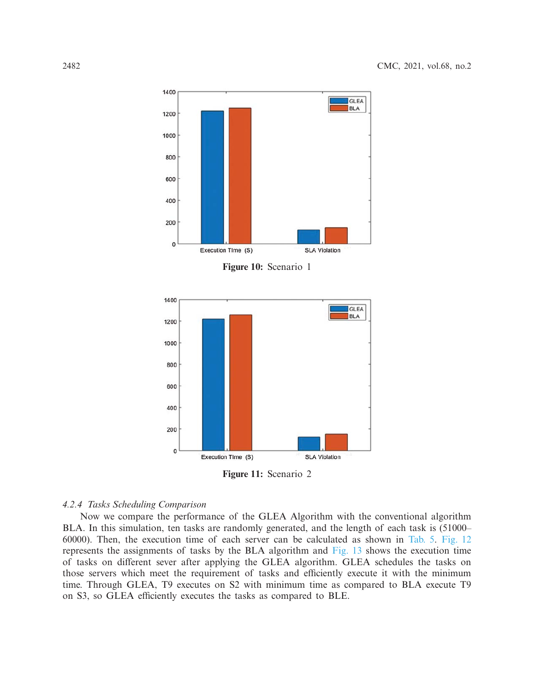

<span id="page-13-0"></span>**Figure 10:** Scenario 1



<span id="page-13-1"></span>**Figure 11:** Scenario 2

# *4.2.4 Tasks Scheduling Comparison*

Now we compare the performance of the GLEA Algorithm with the conventional algorithm BLA. In this simulation, ten tasks are randomly generated, and the length of each task is (51000– 60000). Then, the execution time of each server can be calculated as shown in [Tab. 5.](#page-14-0) [Fig. 12](#page-14-1) represents the assignments of tasks by the BLA algorithm and [Fig. 13](#page-14-2) shows the execution time of tasks on different sever after applying the GLEA algorithm. GLEA schedules the tasks on those servers which meet the requirement of tasks and efficiently execute it with the minimum time. Through GLEA, T9 executes on S2 with minimum time as compared to BLA execute T9 on S3, so GLEA efficiently executes the tasks as compared to BLE.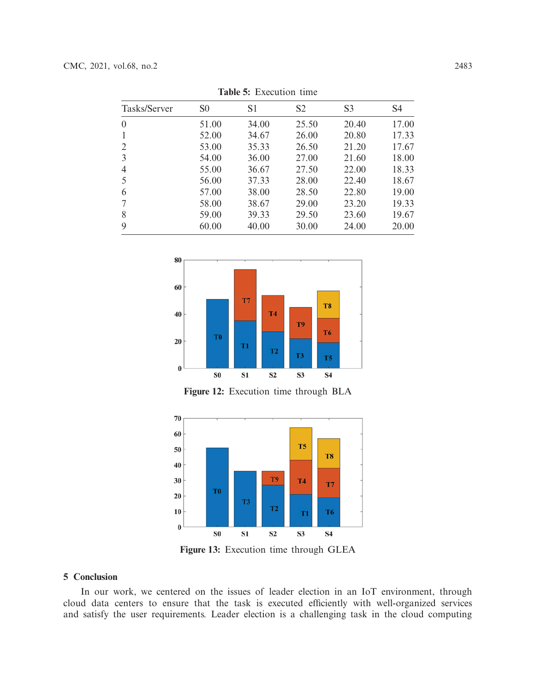<span id="page-14-0"></span>

| <b>LAURE 3.</b> EXUGATOR HILL |                |                |                |                |                |  |  |
|-------------------------------|----------------|----------------|----------------|----------------|----------------|--|--|
| Tasks/Server                  | S <sub>0</sub> | S <sub>1</sub> | S <sub>2</sub> | S <sub>3</sub> | S <sub>4</sub> |  |  |
| $\overline{0}$                | 51.00          | 34.00          | 25.50          | 20.40          | 17.00          |  |  |
| 1                             | 52.00          | 34.67          | 26.00          | 20.80          | 17.33          |  |  |
| 2                             | 53.00          | 35.33          | 26.50          | 21.20          | 17.67          |  |  |
| $\overline{3}$                | 54.00          | 36.00          | 27.00          | 21.60          | 18.00          |  |  |
| $\overline{4}$                | 55.00          | 36.67          | 27.50          | 22.00          | 18.33          |  |  |
| 5                             | 56.00          | 37.33          | 28.00          | 22.40          | 18.67          |  |  |
| 6                             | 57.00          | 38.00          | 28.50          | 22.80          | 19.00          |  |  |
| 7                             | 58.00          | 38.67          | 29.00          | 23.20          | 19.33          |  |  |
| 8                             | 59.00          | 39.33          | 29.50          | 23.60          | 19.67          |  |  |
| 9                             | 60.00          | 40.00          | 30.00          | 24.00          | 20.00          |  |  |

**Table 5:** Execution time



<span id="page-14-1"></span>**Figure 12:** Execution time through BLA



<span id="page-14-2"></span>**Figure 13:** Execution time through GLEA

# **5 Conclusion**

In our work, we centered on the issues of leader election in an IoT environment, through cloud data centers to ensure that the task is executed efficiently with well-organized services and satisfy the user requirements. Leader election is a challenging task in the cloud computing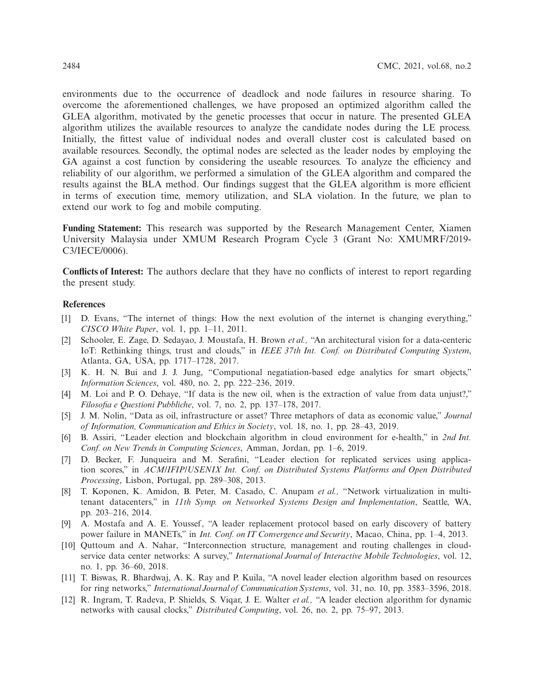environments due to the occurrence of deadlock and node failures in resource sharing. To overcome the aforementioned challenges, we have proposed an optimized algorithm called the GLEA algorithm, motivated by the genetic processes that occur in nature. The presented GLEA algorithm utilizes the available resources to analyze the candidate nodes during the LE process. Initially, the fittest value of individual nodes and overall cluster cost is calculated based on available resources. Secondly, the optimal nodes are selected as the leader nodes by employing the GA against a cost function by considering the useable resources. To analyze the efficiency and reliability of our algorithm, we performed a simulation of the GLEA algorithm and compared the results against the BLA method. Our findings suggest that the GLEA algorithm is more efficient in terms of execution time, memory utilization, and SLA violation. In the future, we plan to extend our work to fog and mobile computing.

**Funding Statement:** This research was supported by the Research Management Center, Xiamen University Malaysia under XMUM Research Program Cycle 3 (Grant No: XMUMRF/2019- C3/IECE/0006).

**Conflicts of Interest:** The authors declare that they have no conflicts of interest to report regarding the present study.

# **References**

- <span id="page-15-0"></span>[1] D. Evans, "The internet of things: How the next evolution of the internet is changing everything," *CISCO White Paper*, vol. 1, pp. 1–11, 2011.
- <span id="page-15-1"></span>[2] Schooler, E. Zage, D. Sedayao, J. Moustafa, H. Brown *et al.,* "An architectural vision for a data-centeric IoT: Rethinking things, trust and clouds," in *IEEE 37th Int. Conf. on Distributed Computing System*, Atlanta, GA, USA, pp. 1717–1728, 2017.
- <span id="page-15-2"></span>[3] K. H. N. Bui and J. J. Jung, "Computional negatiation-based edge analytics for smart objects," *Information Sciences*, vol. 480, no. 2, pp. 222–236, 2019.
- <span id="page-15-3"></span>[4] M. Loi and P. O. Dehaye, "If data is the new oil, when is the extraction of value from data unjust?," *Filosofia e Questioni Pubbliche*, vol. 7, no. 2, pp. 137–178, 2017.
- <span id="page-15-4"></span>[5] J. M. Nolin, "Data as oil, infrastructure or asset? Three metaphors of data as economic value," *Journal of Information, Communication and Ethics in Society*, vol. 18, no. 1, pp. 28–43, 2019.
- <span id="page-15-5"></span>[6] B. Assiri, "Leader election and blockchain algorithm in cloud environment for e-health," in *2nd Int. Conf. on New Trends in Computing Sciences*, Amman, Jordan, pp. 1–6, 2019.
- <span id="page-15-6"></span>[7] D. Becker, F. Junqueira and M. Serafini, "Leader election for replicated services using application scores," in *ACM/IFIP/USENIX Int. Conf. on Distributed Systems Platforms and Open Distributed Processing*, Lisbon, Portugal, pp. 289–308, 2013.
- [8] T. Koponen, K. Amidon, B. Peter, M. Casado, C. Anupam *et al.,* "Network virtualization in multitenant datacenters," in *11th Symp. on Networked Systems Design and Implementation*, Seattle, WA, pp. 203–216, 2014.
- [9] A. Mostafa and A. E. Youssef, "A leader replacement protocol based on early discovery of battery power failure in MANETs," in *Int. Conf. on IT Convergence and Security*, Macao, China, pp. 1–4, 2013.
- <span id="page-15-7"></span>[10] Quttoum and A. Nahar, "Interconnection structure, management and routing challenges in cloudservice data center networks: A survey," *International Journal of Interactive Mobile Technologies*, vol. 12, no. 1, pp. 36–60, 2018.
- <span id="page-15-8"></span>[11] T. Biswas, R. Bhardwaj, A. K. Ray and P. Kuila, "A novel leader election algorithm based on resources for ring networks," *International Journal of Communication Systems*, vol. 31, no. 10, pp. 3583–3596, 2018.
- [12] R. Ingram, T. Radeva, P. Shields, S. Viqar, J. E. Walter *et al.,* "A leader election algorithm for dynamic networks with causal clocks," *Distributed Computing*, vol. 26, no. 2, pp. 75–97, 2013.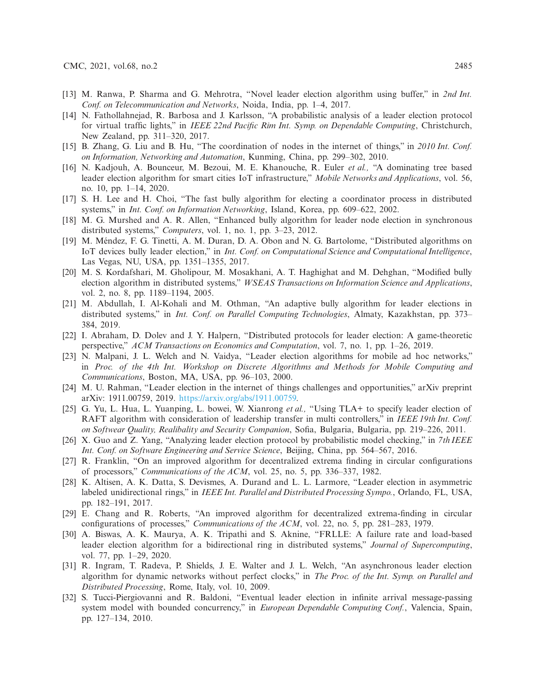- [13] M. Ranwa, P. Sharma and G. Mehrotra, "Novel leader election algorithm using buffer," in *2nd Int. Conf. on Telecommunication and Networks*, Noida, India, pp. 1–4, 2017.
- <span id="page-16-9"></span>[14] N. Fathollahnejad, R. Barbosa and J. Karlsson, "A probabilistic analysis of a leader election protocol for virtual traffic lights," in *IEEE 22nd Pacific Rim Int. Symp. on Dependable Computing*, Christchurch, New Zealand, pp. 311–320, 2017.
- [15] B. Zhang, G. Liu and B. Hu, "The coordination of nodes in the internet of things," in *2010 Int. Conf. on Information, Networking and Automation*, Kunming, China, pp. 299–302, 2010.
- <span id="page-16-0"></span>[16] N. Kadjouh, A. Bounceur, M. Bezoui, M. E. Khanouche, R. Euler *et al.,* "A dominating tree based leader election algorithm for smart cities IoT infrastructure," *Mobile Networks and Applications*, vol. 56, no. 10, pp. 1–14, 2020.
- <span id="page-16-1"></span>[17] S. H. Lee and H. Choi, "The fast bully algorithm for electing a coordinator process in distributed systems," in *Int. Conf. on Information Networking*, Island, Korea, pp. 609–622, 2002.
- [18] M. G. Murshed and A. R. Allen, "Enhanced bully algorithm for leader node election in synchronous distributed systems," *Computers*, vol. 1, no. 1, pp. 3–23, 2012.
- [19] M. Méndez, F. G. Tinetti, A. M. Duran, D. A. Obon and N. G. Bartolome, "Distributed algorithms on IoT devices bully leader election," in *Int. Conf. on Computational Science and Computational Intelligence*, Las Vegas, NU, USA, pp. 1351–1355, 2017.
- <span id="page-16-13"></span>[20] M. S. Kordafshari, M. Gholipour, M. Mosakhani, A. T. Haghighat and M. Dehghan, "Modified bully election algorithm in distributed systems," *WSEAS Transactions on Information Science and Applications*, vol. 2, no. 8, pp. 1189–1194, 2005.
- <span id="page-16-2"></span>[21] M. Abdullah, I. Al-Kohali and M. Othman, "An adaptive bully algorithm for leader elections in distributed systems," in *Int. Conf. on Parallel Computing Technologies*, Almaty, Kazakhstan, pp. 373– 384, 2019.
- <span id="page-16-3"></span>[22] I. Abraham, D. Dolev and J. Y. Halpern, "Distributed protocols for leader election: A game-theoretic perspective," *ACM Transactions on Economics and Computation*, vol. 7, no. 1, pp. 1–26, 2019.
- <span id="page-16-4"></span>[23] N. Malpani, J. L. Welch and N. Vaidya, "Leader election algorithms for mobile ad hoc networks," in *Proc. of the 4th Int. Workshop on Discrete Algorithms and Methods for Mobile Computing and Communications*, Boston, MA, USA, pp. 96–103, 2000.
- <span id="page-16-5"></span>[24] M. U. Rahman, "Leader election in the internet of things challenges and opportunities," arXiv preprint arXiv: 1911.00759, 2019. [https://arxiv.org/abs/1911.00759.](https://arxiv.org/abs/1911.00759)
- [25] G. Yu, L. Hua, L. Yuanping, L. bowei, W. Xianrong *et al.,* "Using TLA+ to specify leader election of RAFT algorithm with consideration of leadership transfer in multi controllers," in *IEEE 19th Int. Conf. on Softwear Quality, Realibality and Security Companion*, Sofia, Bulgaria, Bulgaria, pp. 219–226, 2011.
- <span id="page-16-12"></span>[26] X. Guo and Z. Yang, "Analyzing leader election protocol by probabilistic model checking," in *7th IEEE Int. Conf. on Software Engineering and Service Science*, Beijing, China, pp. 564–567, 2016.
- <span id="page-16-11"></span>[27] R. Franklin, "On an improved algorithm for decentralized extrema finding in circular configurations of processors," *Communications of the ACM*, vol. 25, no. 5, pp. 336–337, 1982.
- <span id="page-16-6"></span>[28] K. Altisen, A. K. Datta, S. Devismes, A. Durand and L. L. Larmore, "Leader election in asymmetric labeled unidirectional rings," in *IEEE Int. Parallel and Distributed Processing Sympo.*, Orlando, FL, USA, pp. 182–191, 2017.
- <span id="page-16-7"></span>[29] E. Chang and R. Roberts, "An improved algorithm for decentralized extrema-finding in circular configurations of processes," *Communications of the ACM*, vol. 22, no. 5, pp. 281–283, 1979.
- <span id="page-16-10"></span>[30] A. Biswas, A. K. Maurya, A. K. Tripathi and S. Aknine, "FRLLE: A failure rate and load-based leader election algorithm for a bidirectional ring in distributed systems," *Journal of Supercomputing*, vol. 77, pp. 1–29, 2020.
- [31] R. Ingram, T. Radeva, P. Shields, J. E. Walter and J. L. Welch, "An asynchronous leader election algorithm for dynamic networks without perfect clocks," in *The Proc. of the Int. Symp. on Parallel and Distributed Processing*, Rome, Italy, vol. 10, 2009.
- <span id="page-16-8"></span>[32] S. Tucci-Piergiovanni and R. Baldoni, "Eventual leader election in infinite arrival message-passing system model with bounded concurrency," in *European Dependable Computing Conf.*, Valencia, Spain, pp. 127–134, 2010.